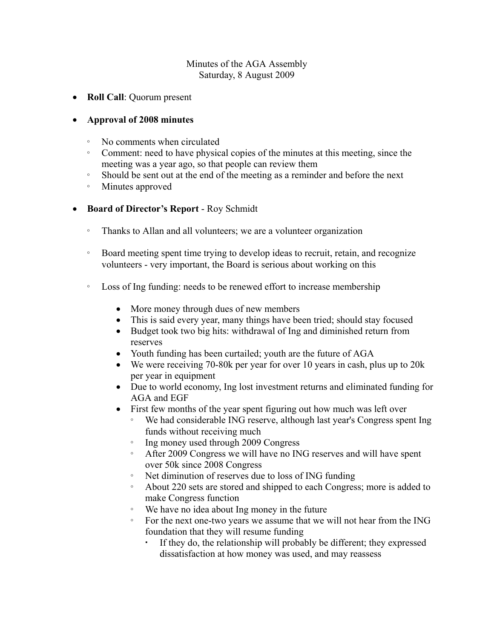### Minutes of the AGA Assembly Saturday, 8 August 2009

· **Roll Call**: Quorum present

## · **Approval of 2008 minutes**

- æ No comments when circulated
- æ Comment: need to have physical copies of the minutes at this meeting, since the meeting was a year ago, so that people can review them
- æ Should be sent out at the end of the meeting as a reminder and before the next
- æ Minutes approved
- Board of Director's Report Roy Schmidt
	- Thanks to Allan and all volunteers; we are a volunteer organization
	- æ Board meeting spent time trying to develop ideas to recruit, retain, and recognize volunteers - very important, the Board is serious about working on this
	- æ Loss of Ing funding: needs to be renewed effort to increase membership
		- More money through dues of new members
		- This is said every year, many things have been tried; should stay focused
		- · Budget took two big hits: withdrawal of Ing and diminished return from reserves
		- Youth funding has been curtailed; youth are the future of AGA
		- We were receiving 70-80k per year for over 10 years in cash, plus up to 20k per year in equipment
		- · Due to world economy, Ing lost investment returns and eliminated funding for AGA and EGF
		- First few months of the year spent figuring out how much was left over
			- We had considerable ING reserve, although last year's Congress spent Ing funds without receiving much
			- æ Ing money used through 2009 Congress
			- æ After 2009 Congress we will have no ING reserves and will have spent over 50k since 2008 Congress
			- æ Net diminution of reserves due to loss of ING funding
			- æ About 220 sets are stored and shipped to each Congress; more is added to make Congress function
			- æ We have no idea about Ing money in the future
			- æ For the next one-two years we assume that we will not hear from the ING foundation that they will resume funding
				- If they do, the relationship will probably be different; they expressed dissatisfaction at how money was used, and may reassess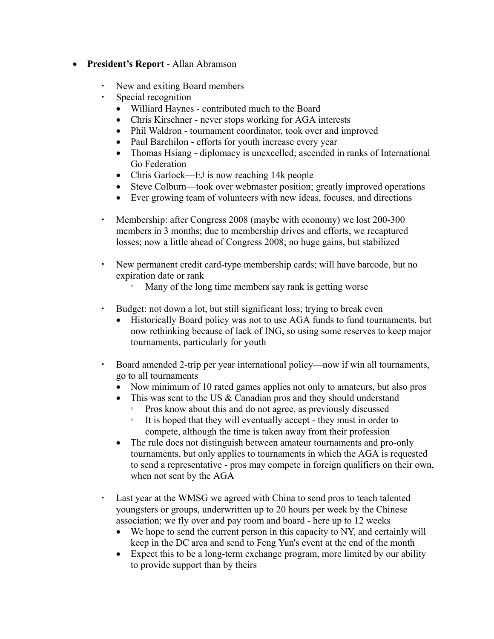- · **Presidents Report** Allan Abramson
	- New and exiting Board members
	- Special recognition
		- Williard Haynes contributed much to the Board
		- Chris Kirschner never stops working for AGA interests
		- Phil Waldron tournament coordinator, took over and improved
		- Paul Barchilon efforts for youth increase every year
		- Thomas Hsiang diplomacy is unexcelled; ascended in ranks of International Go Federation
		- Chris Garlock—EJ is now reaching 14k people
		- Steve Colburn—took over webmaster position; greatly improved operations
		- Ever growing team of volunteers with new ideas, focuses, and directions
	- Membership: after Congress 2008 (maybe with economy) we lost 200-300 members in 3 months; due to membership drives and efforts, we recaptured losses; now a little ahead of Congress 2008; no huge gains, but stabilized
	- New permanent credit card-type membership cards; will have barcode, but no expiration date or rank
		- æ Many of the long time members say rank is getting worse
	- Budget: not down a lot, but still significant loss; trying to break even
		- Historically Board policy was not to use AGA funds to fund tournaments, but now rethinking because of lack of ING, so using some reserves to keep major tournaments, particularly for youth
	- Board amended 2-trip per year international policy—now if win all tournaments, go to all tournaments
		- Now minimum of 10 rated games applies not only to amateurs, but also pros
		- This was sent to the US & Canadian pros and they should understand æ Pros know about this and do not agree, as previously discussed
			- æ It is hoped that they will eventually accept they must in order to compete, although the time is taken away from their profession
		- The rule does not distinguish between amateur tournaments and pro-only tournaments, but only applies to tournaments in which the AGA is requested to send a representative - pros may compete in foreign qualifiers on their own, when not sent by the AGA
	- Last year at the WMSG we agreed with China to send pros to teach talented youngsters or groups, underwritten up to 20 hours per week by the Chinese association; we fly over and pay room and board - here up to 12 weeks
		- We hope to send the current person in this capacity to NY, and certainly will keep in the DC area and send to Feng Yun's event at the end of the month
		- Expect this to be a long-term exchange program, more limited by our ability to provide support than by theirs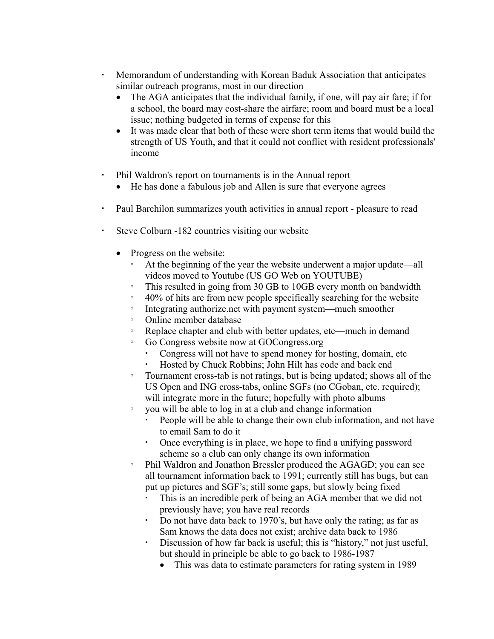- Memorandum of understanding with Korean Baduk Association that anticipates similar outreach programs, most in our direction
	- The AGA anticipates that the individual family, if one, will pay air fare; if for a school, the board may cost-share the airfare; room and board must be a local issue; nothing budgeted in terms of expense for this
	- · It was made clear that both of these were short term items that would build the strength of US Youth, and that it could not conflict with resident professionals' income
- Phil Waldron's report on tournaments is in the Annual report
	- He has done a fabulous job and Allen is sure that everyone agrees
- Paul Barchilon summarizes youth activities in annual report pleasure to read
- Steve Colburn -182 countries visiting our website
	- Progress on the website:
		- At the beginning of the year the website underwent a major update—all videos moved to Youtube (US GO Web on YOUTUBE)
		- This resulted in going from 30 GB to 10GB every month on bandwidth
		- $\degree$  40% of hits are from new people specifically searching for the website
		- Integrating authorize net with payment system—much smoother
		- æ Online member database
		- Exercise chapter and club with better updates, etc—much in demand
		- æ Go Congress website now at GOCongress.org
			- Congress will not have to spend money for hosting, domain, etc
			- Hosted by Chuck Robbins; John Hilt has code and back end
		- æ Tournament cross-tab is not ratings, but is being updated; shows all of the US Open and ING cross-tabs, online SGFs (no CGoban, etc. required); will integrate more in the future; hopefully with photo albums
		- æ you will be able to log in at a club and change information
			- People will be able to change their own club information, and not have to email Sam to do it
			- Once everything is in place, we hope to find a unifying password scheme so a club can only change its own information
		- Phil Waldron and Jonathon Bressler produced the AGAGD; you can see all tournament information back to 1991; currently still has bugs, but can put up pictures and SGF's; still some gaps, but slowly being fixed
			- This is an incredible perk of being an AGA member that we did not previously have; you have real records
			- Do not have data back to 1970's, but have only the rating; as far as Sam knows the data does not exist; archive data back to 1986
			- Discussion of how far back is useful; this is "history," not just useful, but should in principle be able to go back to 1986-1987
				- This was data to estimate parameters for rating system in 1989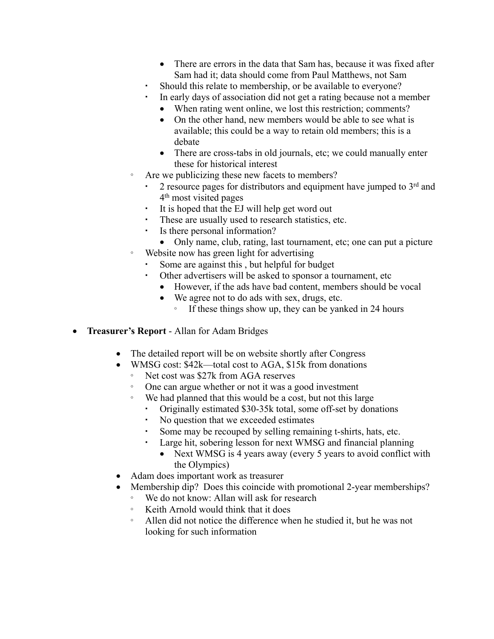- There are errors in the data that Sam has, because it was fixed after Sam had it; data should come from Paul Matthews, not Sam
- Should this relate to membership, or be available to everyone?
- In early days of association did not get a rating because not a member
	- When rating went online, we lost this restriction; comments?
	- On the other hand, new members would be able to see what is available; this could be a way to retain old members; this is a debate
	- There are cross-tabs in old journals, etc; we could manually enter these for historical interest
- æ Are we publicizing these new facets to members?
	- $\cdot$  2 resource pages for distributors and equipment have jumped to  $3<sup>rd</sup>$  and 4 th most visited pages
	- It is hoped that the EJ will help get word out
	- These are usually used to research statistics, etc.
	- Is there personal information?
- Only name, club, rating, last tournament, etc; one can put a picture æ Website now has green light for advertising
	- Some are against this, but helpful for budget
	- Other advertisers will be asked to sponsor a tournament, etc
		- · However, if the ads have bad content, members should be vocal
		- · We agree not to do ads with sex, drugs, etc.
			- $\degree$  If these things show up, they can be yanked in 24 hours
- Treasurer's Report Allan for Adam Bridges
	- The detailed report will be on website shortly after Congress
	- WMSG cost:  $$42k$  total cost to AGA,  $$15k$  from donations
		- Net cost was \$27k from AGA reserves
		- æ One can argue whether or not it was a good investment
		- æ We had planned that this would be a cost, but not this large
			- Originally estimated \$30-35k total, some off-set by donations
			- No question that we exceeded estimates
			- Some may be recouped by selling remaining t-shirts, hats, etc.
			- Large hit, sobering lesson for next WMSG and financial planning
				- Next WMSG is 4 years away (every 5 years to avoid conflict with the Olympics)
	- · Adam does important work as treasurer
	- Membership dip? Does this coincide with promotional 2-year memberships?
		- æ We do not know: Allan will ask for research
		- Keith Arnold would think that it does
		- æ Allen did not notice the difference when he studied it, but he was not looking for such information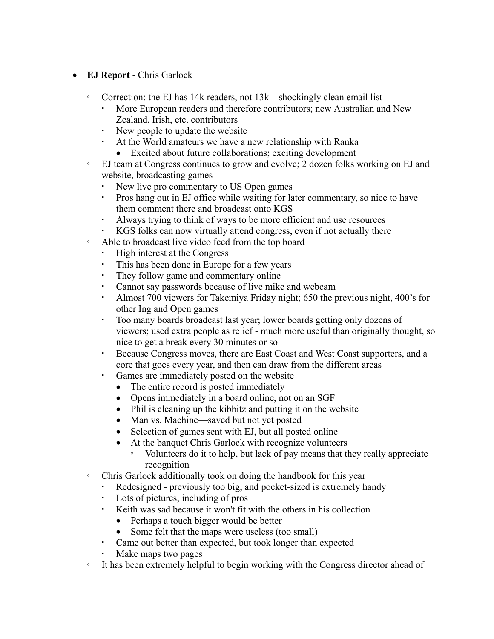- · **EJ Report** Chris Garlock
	- Correction: the EJ has 14k readers, not  $13k$ —shockingly clean email list
		- ª More European readers and therefore contributors; new Australian and New Zealand, Irish, etc. contributors
		- New people to update the website
		- ª At the World amateurs we have a new relationship with Ranka
			- Excited about future collaborations; exciting development
	- æ EJ team at Congress continues to grow and evolve; 2 dozen folks working on EJ and website, broadcasting games
		- New live pro commentary to US Open games
		- Pros hang out in EJ office while waiting for later commentary, so nice to have them comment there and broadcast onto KGS
		- ª Always trying to think of ways to be more efficient and use resources
		- KGS folks can now virtually attend congress, even if not actually there
	- æ Able to broadcast live video feed from the top board
		- High interest at the Congress
		- This has been done in Europe for a few years
		- They follow game and commentary online
		- Cannot say passwords because of live mike and webcam
		- Almost 700 viewers for Takemiya Friday night; 650 the previous night, 400's for other Ing and Open games
		- Too many boards broadcast last year; lower boards getting only dozens of viewers; used extra people as relief - much more useful than originally thought, so nice to get a break every 30 minutes or so
		- Because Congress moves, there are East Coast and West Coast supporters, and a core that goes every year, and then can draw from the different areas
		- Games are immediately posted on the website
			- The entire record is posted immediately
			- Opens immediately in a board online, not on an SGF
			- Phil is cleaning up the kibbitz and putting it on the website
			- Man vs. Machine—saved but not yet posted
			- Selection of games sent with EJ, but all posted online
			- At the banquet Chris Garlock with recognize volunteers
				- æ Volunteers do it to help, but lack of pay means that they really appreciate recognition
	- æ Chris Garlock additionally took on doing the handbook for this year
		- Redesigned previously too big, and pocket-sized is extremely handy
		- Lots of pictures, including of pros
		- ª Keith was sad because it won't fit with the others in his collection
			- Perhaps a touch bigger would be better
			- Some felt that the maps were useless (too small)
		- Came out better than expected, but took longer than expected
		- Make maps two pages
	- æ It has been extremely helpful to begin working with the Congress director ahead of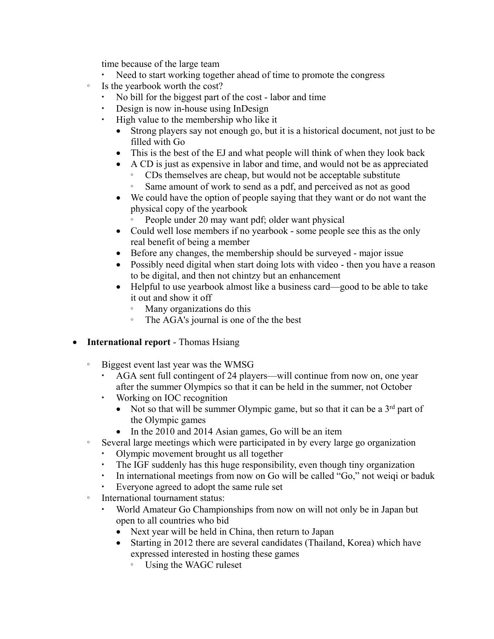time because of the large team

- Need to start working together ahead of time to promote the congress
- æ Is the yearbook worth the cost?
	- No bill for the biggest part of the cost labor and time
	- Design is now in-house using InDesign
	- ª High value to the membership who like it
		- · Strong players say not enough go, but it is a historical document, not just to be filled with Go
		- This is the best of the EJ and what people will think of when they look back
		- · A CD is just as expensive in labor and time, and would not be as appreciated
			- æ CDs themselves are cheap, but would not be acceptable substitute
			- æ Same amount of work to send as a pdf, and perceived as not as good
		- · We could have the option of people saying that they want or do not want the physical copy of the yearbook
			- People under 20 may want pdf; older want physical
		- Could well lose members if no yearbook some people see this as the only real benefit of being a member
		- · Before any changes, the membership should be surveyed major issue
		- Possibly need digital when start doing lots with video then you have a reason to be digital, and then not chintzy but an enhancement
		- Helpful to use yearbook almost like a business card—good to be able to take it out and show it off
			- Many organizations do this
			- The AGA's journal is one of the the best
- · **International report** Thomas Hsiang
	- æ Biggest event last year was the WMSG
		- AGA sent full contingent of 24 players—will continue from now on, one year after the summer Olympics so that it can be held in the summer, not October
		- Working on IOC recognition
			- Not so that will be summer Olympic game, but so that it can be a  $3<sup>rd</sup>$  part of the Olympic games
			- In the 2010 and 2014 Asian games, Go will be an item
	- æ Several large meetings which were participated in by every large go organization
		- Olympic movement brought us all together
		- The IGF suddenly has this huge responsibility, even though tiny organization
		- In international meetings from now on Go will be called "Go," not weigi or baduk
		- Everyone agreed to adopt the same rule set
	- International tournament status:
		- World Amateur Go Championships from now on will not only be in Japan but open to all countries who bid
			- Next year will be held in China, then return to Japan
			- Starting in 2012 there are several candidates (Thailand, Korea) which have expressed interested in hosting these games
				- æ Using the WAGC ruleset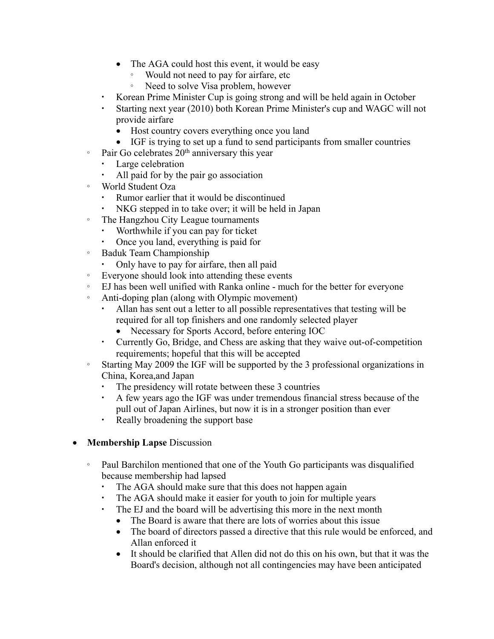- The AGA could host this event, it would be easy
	- Would not need to pay for airfare, etc.
	- Need to solve Visa problem, however
- Korean Prime Minister Cup is going strong and will be held again in October
- Starting next year (2010) both Korean Prime Minister's cup and WAGC will not provide airfare
	- Host country covers everything once you land
	- · IGF is trying to set up a fund to send participants from smaller countries
- $\degree$  Pair Go celebrates 20<sup>th</sup> anniversary this year
	- Large celebration
	- All paid for by the pair go association
- æ World Student Oza
	- Rumor earlier that it would be discontinued
	- NKG stepped in to take over; it will be held in Japan
- The Hangzhou City League tournaments
	- Worthwhile if you can pay for ticket
	- Once you land, everything is paid for
- æ Baduk Team Championship
	- Only have to pay for airfare, then all paid
- æ Everyone should look into attending these events
- æ EJ has been well unified with Ranka online much for the better for everyone
- æ Anti-doping plan (along with Olympic movement)
	- Allan has sent out a letter to all possible representatives that testing will be required for all top finishers and one randomly selected player
		- Necessary for Sports Accord, before entering IOC
	- Currently Go, Bridge, and Chess are asking that they waive out-of-competition requirements; hopeful that this will be accepted
- æ Starting May 2009 the IGF will be supported by the 3 professional organizations in China, Korea,and Japan
	- The presidency will rotate between these 3 countries
	- ª A few years ago the IGF was under tremendous financial stress because of the pull out of Japan Airlines, but now it is in a stronger position than ever
	- Really broadening the support base
- · **Membership Lapse** Discussion
	- æ Paul Barchilon mentioned that one of the Youth Go participants was disqualified because membership had lapsed
		- The AGA should make sure that this does not happen again
		- The AGA should make it easier for youth to join for multiple years
		- The EJ and the board will be advertising this more in the next month
			- The Board is aware that there are lots of worries about this issue
			- The board of directors passed a directive that this rule would be enforced, and Allan enforced it
			- · It should be clarified that Allen did not do this on his own, but that it was the Board's decision, although not all contingencies may have been anticipated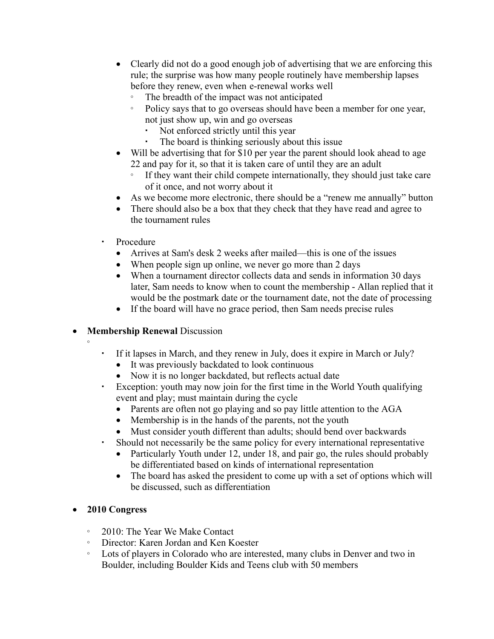- Clearly did not do a good enough job of advertising that we are enforcing this rule; the surprise was how many people routinely have membership lapses before they renew, even when e-renewal works well
	- The breadth of the impact was not anticipated
	- æ Policy says that to go overseas should have been a member for one year, not just show up, win and go overseas
		- Not enforced strictly until this year
		- The board is thinking seriously about this issue
- Will be advertising that for \$10 per year the parent should look ahead to age 22 and pay for it, so that it is taken care of until they are an adult
	- æ If they want their child compete internationally, they should just take care of it once, and not worry about it
- As we become more electronic, there should be a "renew me annually" button
- There should also be a box that they check that they have read and agree to the tournament rules
- Procedure
	- Arrives at Sam's desk 2 weeks after mailed—this is one of the issues
	- When people sign up online, we never go more than 2 days
	- When a tournament director collects data and sends in information 30 days later, Sam needs to know when to count the membership - Allan replied that it would be the postmark date or the tournament date, not the date of processing
	- If the board will have no grace period, then Sam needs precise rules

### · **Membership Renewal** Discussion æ

- - ª If it lapses in March, and they renew in July, does it expire in March or July?
		- · It was previously backdated to look continuous
		- Now it is no longer backdated, but reflects actual date
	- Exception: youth may now join for the first time in the World Youth qualifying event and play; must maintain during the cycle
		- Parents are often not go playing and so pay little attention to the AGA
		- Membership is in the hands of the parents, not the youth
		- Must consider youth different than adults; should bend over backwards
	- Should not necessarily be the same policy for every international representative
		- Particularly Youth under 12, under 18, and pair go, the rules should probably be differentiated based on kinds of international representation
		- The board has asked the president to come up with a set of options which will be discussed, such as differentiation

# · **2010 Congress**

- æ 2010: The Year We Make Contact
- æ Director: Karen Jordan and Ken Koester
- æ Lots of players in Colorado who are interested, many clubs in Denver and two in Boulder, including Boulder Kids and Teens club with 50 members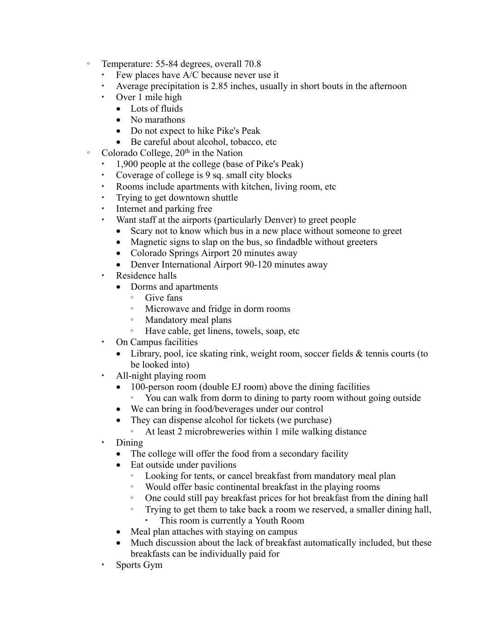- Temperature: 55-84 degrees, overall 70.8
	- $\cdot$  Few places have A/C because never use it
	- Average precipitation is 2.85 inches, usually in short bouts in the afternoon
	- Over 1 mile high
		- Lots of fluids
		- No marathons
		- Do not expect to hike Pike's Peak
		- · Be careful about alcohol, tobacco, etc
- <sup>o</sup> Colorado College, 20<sup>th</sup> in the Nation
	- ª 1,900 people at the college (base of Pike's Peak)
	- Coverage of college is 9 sq. small city blocks
	- Rooms include apartments with kitchen, living room, etc
	- Trying to get downtown shuttle
	- Internet and parking free
	- Want staff at the airports (particularly Denver) to greet people
		- Scary not to know which bus in a new place without someone to greet
		- Magnetic signs to slap on the bus, so findadble without greeters
		- Colorado Springs Airport 20 minutes away
		- Denver International Airport 90-120 minutes away
	- Residence halls
		- · Dorms and apartments
			- æ Give fans
			- æ Microwave and fridge in dorm rooms
			- æ Mandatory meal plans
			- æ Have cable, get linens, towels, soap, etc
	- On Campus facilities
		- Library, pool, ice skating rink, weight room, soccer fields & tennis courts (to be looked into)
	- All-night playing room
		- 100-person room (double EJ room) above the dining facilities æ You can walk from dorm to dining to party room without going outside
		- · We can bring in food/beverages under our control
		- They can dispense alcohol for tickets (we purchase)
			- æ At least 2 microbreweries within 1 mile walking distance
	- Dining
		- The college will offer the food from a secondary facility
		- Eat outside under pavilions
			- æ Looking for tents, or cancel breakfast from mandatory meal plan
			- æ Would offer basic continental breakfast in the playing rooms
			- æ One could still pay breakfast prices for hot breakfast from the dining hall
			- æ Trying to get them to take back a room we reserved, a smaller dining hall,
				- This room is currently a Youth Room
		- Meal plan attaches with staying on campus
		- Much discussion about the lack of breakfast automatically included, but these breakfasts can be individually paid for
	- Sports Gym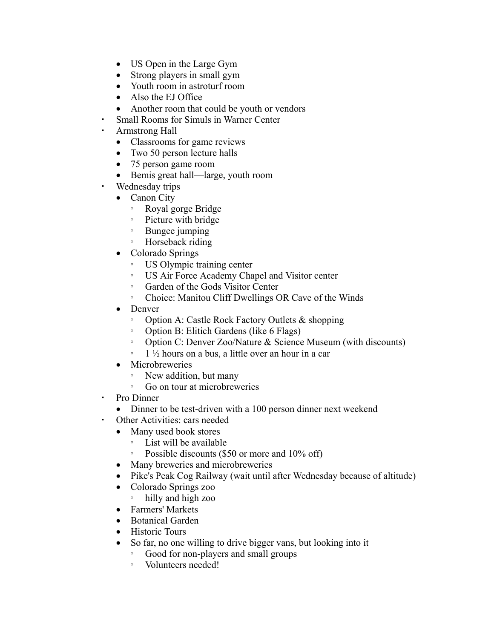- US Open in the Large Gym
- Strong players in small gym
- Youth room in astroturf room
- Also the EJ Office
- Another room that could be youth or vendors
- Small Rooms for Simuls in Warner Center
- Armstrong Hall
	- · Classrooms for game reviews
	- Two 50 person lecture halls
	- · 75 person game room
	- Bemis great hall—large, youth room
- Wednesday trips
	- Canon City
		- æ Royal gorge Bridge
		- æ Picture with bridge
		- æ Bungee jumping
		- Horseback riding
	- Colorado Springs
		- æ US Olympic training center
		- æ US Air Force Academy Chapel and Visitor center
		- æ Garden of the Gods Visitor Center
		- æ Choice: Manitou Cliff Dwellings OR Cave of the Winds
	- Denver
		- Option A: Castle Rock Factory Outlets & shopping
		- æ Option B: Elitich Gardens (like 6 Flags)
		- æ Option C: Denver Zoo/Nature & Science Museum (with discounts)
		- $\frac{1}{2}$  1  $\frac{1}{2}$  hours on a bus, a little over an hour in a car
	- Microbreweries
		- New addition, but many
		- æ Go on tour at microbreweries
- Pro Dinner
	- Dinner to be test-driven with a 100 person dinner next weekend
- Other Activities: cars needed
	- Many used book stores
		- List will be available
		- Possible discounts (\$50 or more and  $10\%$  off)
	- Many breweries and microbreweries
	- Pike's Peak Cog Railway (wait until after Wednesday because of altitude)
	- · Colorado Springs zoo
		- æ hilly and high zoo
	- · Farmers' Markets
	- Botanical Garden
	- Historic Tours
	- · So far, no one willing to drive bigger vans, but looking into it
		- æ Good for non-players and small groups
		- æ Volunteers needed!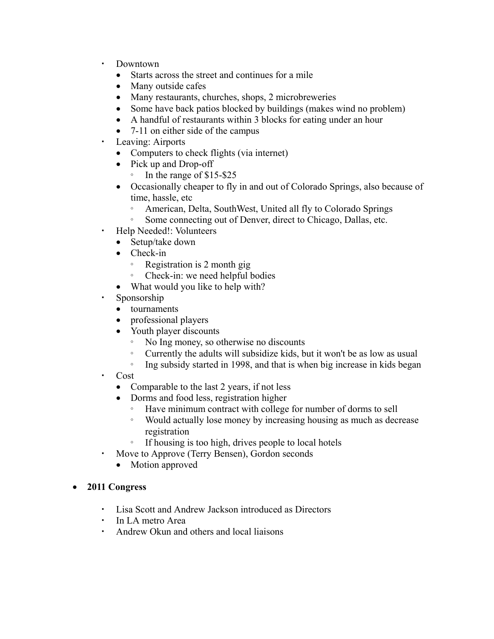- ª Downtown
	- Starts across the street and continues for a mile
	- Many outside cafes
	- Many restaurants, churches, shops, 2 microbreweries
	- Some have back patios blocked by buildings (makes wind no problem)
	- A handful of restaurants within 3 blocks for eating under an hour
	- 7-11 on either side of the campus
- Leaving: Airports
	- · Computers to check flights (via internet)
	- Pick up and Drop-off
		- æ In the range of \$15-\$25
	- · Occasionally cheaper to fly in and out of Colorado Springs, also because of time, hassle, etc
		- æ American, Delta, SouthWest, United all fly to Colorado Springs
		- æ Some connecting out of Denver, direct to Chicago, Dallas, etc.
- Help Needed!: Volunteers
	- Setup/take down
	- Check-in
		- æ Registration is 2 month gig
		- æ Check-in: we need helpful bodies
	- What would you like to help with?
- Sponsorship
	- tournaments
	- professional players
	- Youth player discounts
		- æ No Ing money, so otherwise no discounts
		- æ Currently the adults will subsidize kids, but it won't be as low as usual
		- Ing subsidy started in 1998, and that is when big increase in kids began
- Cost
	- Comparable to the last 2 years, if not less
	- Dorms and food less, registration higher
		- æ Have minimum contract with college for number of dorms to sell
		- æ Would actually lose money by increasing housing as much as decrease registration
		- æ If housing is too high, drives people to local hotels
- Move to Approve (Terry Bensen), Gordon seconds
	- Motion approved

# · **2011 Congress**

- Lisa Scott and Andrew Jackson introduced as Directors
- In LA metro Area
- Andrew Okun and others and local liaisons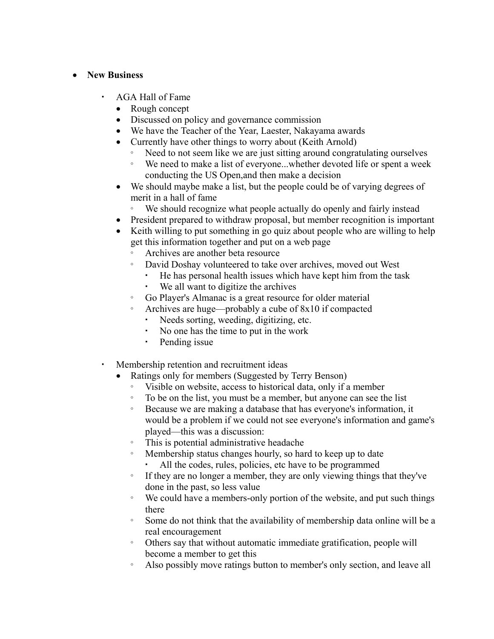### · **New Business**

- AGA Hall of Fame
	- Rough concept
	- Discussed on policy and governance commission
	- · We have the Teacher of the Year, Laester, Nakayama awards
	- Currently have other things to worry about (Keith Arnold)
		- Need to not seem like we are just sitting around congratulating ourselves
		- æ We need to make a list of everyone...whether devoted life or spent a week conducting the US Open,and then make a decision
	- We should maybe make a list, but the people could be of varying degrees of merit in a hall of fame
		- æ We should recognize what people actually do openly and fairly instead
	- President prepared to withdraw proposal, but member recognition is important
	- Keith willing to put something in go quiz about people who are willing to help get this information together and put on a web page
		- æ Archives are another beta resource
		- æ David Doshay volunteered to take over archives, moved out West
			- He has personal health issues which have kept him from the task
			- We all want to digitize the archives
		- æ Go Player's Almanac is a great resource for older material
		- Archives are huge—probably a cube of  $8x10$  if compacted
			- Needs sorting, weeding, digitizing, etc.
			- No one has the time to put in the work
			- Pending issue
- Membership retention and recruitment ideas
	- Ratings only for members (Suggested by Terry Benson)
		- æ Visible on website, access to historical data, only if a member
		- æ To be on the list, you must be a member, but anyone can see the list
		- æ Because we are making a database that has everyone's information, it would be a problem if we could not see everyone's information and game's played—this was a discussion:
		- æ This is potential administrative headache
		- Membership status changes hourly, so hard to keep up to date All the codes, rules, policies, etc have to be programmed
		- æ If they are no longer a member, they are only viewing things that they've done in the past, so less value
		- æ We could have a members-only portion of the website, and put such things there
		- æ Some do not think that the availability of membership data online will be a real encouragement
		- æ Others say that without automatic immediate gratification, people will become a member to get this
		- æ Also possibly move ratings button to member's only section, and leave all